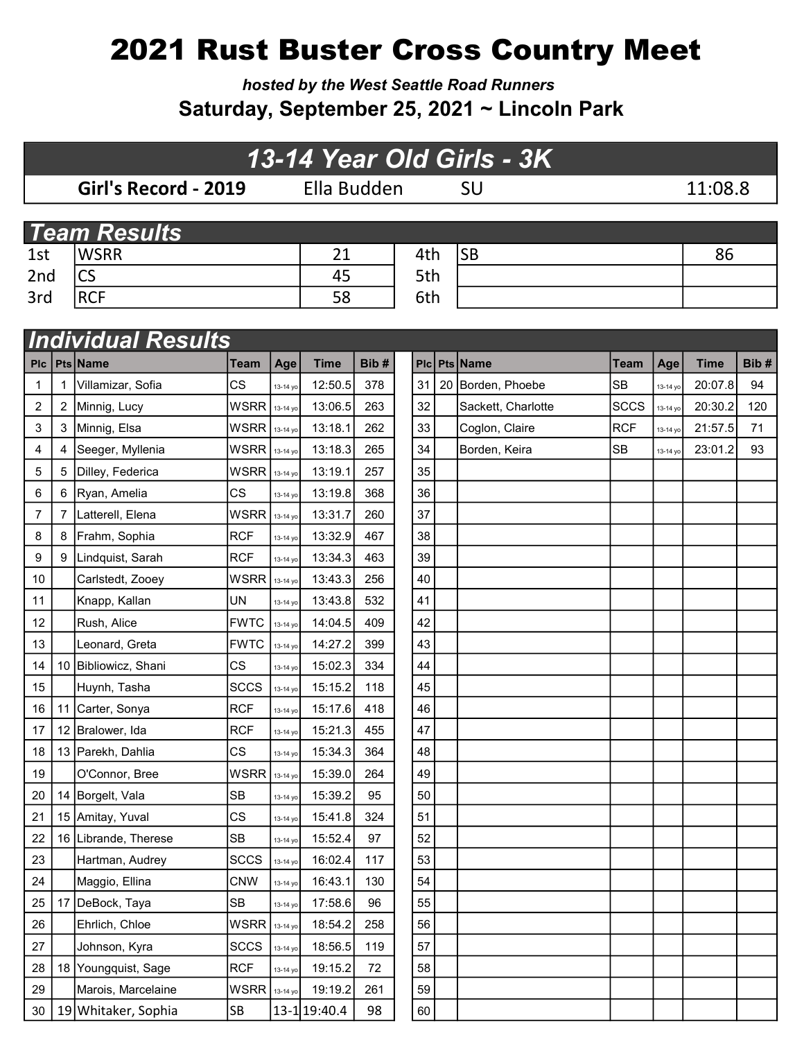# 2021 Rust Buster Cross Country Meet

hosted by the West Seattle Road Runners Saturday, September 25, 2021 ~ Lincoln Park

### Girl's Record - 2019 Ella Budden SU 11:08.8 1st WSRR 21 4th SB 86 2nd CS 45 5th 3rd RCF 58 6th 13-14 Year Old Girls - 3K **Team Results**

|            |   | <b>Individual Results</b> |                      |          |                |      |    |                    |             |          |             |      |
|------------|---|---------------------------|----------------------|----------|----------------|------|----|--------------------|-------------|----------|-------------|------|
| <b>PIC</b> |   | Pts Name                  | Team                 | Age      | <b>Time</b>    | Bib# |    | Plc Pts Name       | <b>Team</b> | Age      | <b>Time</b> | Bib# |
| 1          |   | Villamizar, Sofia         | CS                   | 13-14 yo | 12:50.5        | 378  | 31 | 20 Borden, Phoebe  | <b>SB</b>   | 13-14 yo | 20:07.8     | 94   |
| 2          | 2 | Minnig, Lucy              | <b>WSRR</b>          | 13-14 yo | 13:06.5        | 263  | 32 | Sackett, Charlotte | <b>SCCS</b> | 13-14 yo | 20:30.2     | 120  |
| 3          | 3 | Minnig, Elsa              | <b>WSRR</b>          | 13-14 yo | 13:18.1        | 262  | 33 | Coglon, Claire     | <b>RCF</b>  | 13-14 yo | 21:57.5     | 71   |
| 4          | 4 | Seeger, Myllenia          | <b>WSRR</b>          | 13-14 yo | 13:18.3        | 265  | 34 | Borden, Keira      | <b>SB</b>   | 13-14 yo | 23:01.2     | 93   |
| 5          | 5 | Dilley, Federica          | <b>WSRR</b>          | 13-14 yo | 13:19.1        | 257  | 35 |                    |             |          |             |      |
| 6          | 6 | Ryan, Amelia              | <b>CS</b>            | 13-14 yo | 13:19.8        | 368  | 36 |                    |             |          |             |      |
| 7          | 7 | Latterell, Elena          | <b>WSRR</b>          | 13-14 yo | 13:31.7        | 260  | 37 |                    |             |          |             |      |
| 8          | 8 | Frahm, Sophia             | <b>RCF</b>           | 13-14 yo | 13:32.9        | 467  | 38 |                    |             |          |             |      |
| 9          |   | 9   Lindquist, Sarah      | <b>RCF</b>           | 13-14 yo | 13:34.3        | 463  | 39 |                    |             |          |             |      |
| 10         |   | Carlstedt, Zooey          | <b>WSRR</b>          | 13-14 yo | 13:43.3        | 256  | 40 |                    |             |          |             |      |
| 11         |   | Knapp, Kallan             | UN                   | 13-14 yo | 13:43.8        | 532  | 41 |                    |             |          |             |      |
| 12         |   | Rush, Alice               | <b>FWTC</b>          | 13-14 yo | 14:04.5        | 409  | 42 |                    |             |          |             |      |
| 13         |   | Leonard, Greta            | <b>FWTC</b>          | 13-14 yo | 14:27.2        | 399  | 43 |                    |             |          |             |      |
| 14         |   | 10 Bibliowicz, Shani      | CS                   | 13-14 yo | 15:02.3        | 334  | 44 |                    |             |          |             |      |
| 15         |   | Huynh, Tasha              | <b>SCCS</b>          | 13-14 yo | 15:15.2        | 118  | 45 |                    |             |          |             |      |
| 16         |   | 11 Carter, Sonya          | <b>RCF</b>           | 13-14 yo | 15:17.6        | 418  | 46 |                    |             |          |             |      |
| 17         |   | 12 Bralower, Ida          | <b>RCF</b>           | 13-14 yo | 15:21.3        | 455  | 47 |                    |             |          |             |      |
| 18         |   | 13 Parekh, Dahlia         | CS                   | 13-14 yo | 15:34.3        | 364  | 48 |                    |             |          |             |      |
| 19         |   | O'Connor, Bree            | <b>WSRR</b>          | 13-14 yo | 15:39.0        | 264  | 49 |                    |             |          |             |      |
| 20         |   | 14 Borgelt, Vala          | <b>SB</b>            | 13-14 yo | 15:39.2        | 95   | 50 |                    |             |          |             |      |
| 21         |   | 15 Amitay, Yuval          | CS                   | 13-14 yo | 15:41.8        | 324  | 51 |                    |             |          |             |      |
| 22         |   | 16 Librande, Therese      | <b>SB</b>            | 13-14 yo | 15:52.4        | 97   | 52 |                    |             |          |             |      |
| 23         |   | Hartman, Audrey           | <b>SCCS</b>          | 13-14 yo | 16:02.4        | 117  | 53 |                    |             |          |             |      |
| 24         |   | Maggio, Ellina            | <b>CNW</b>           | 13-14 yo | 16:43.1        | 130  | 54 |                    |             |          |             |      |
| 25         |   | 17 DeBock, Taya           | <b>SB</b>            | 13-14 yo | 17:58.6        | 96   | 55 |                    |             |          |             |      |
| 26         |   | Ehrlich, Chloe            | <b>WSRR</b> 13-14 yo |          | 18:54.2        | 258  | 56 |                    |             |          |             |      |
| 27         |   | Johnson, Kyra             | <b>SCCS</b>          | 13-14 yo | 18:56.5        | 119  | 57 |                    |             |          |             |      |
| 28         |   | 18 Youngquist, Sage       | <b>RCF</b>           | 13-14 yo | 19:15.2        | 72   | 58 |                    |             |          |             |      |
| 29         |   | Marois, Marcelaine        | <b>WSRR</b>          | 13-14 yo | 19:19.2        | 261  | 59 |                    |             |          |             |      |
| 30         |   | 19 Whitaker, Sophia       | SB                   |          | $13-1$ 19:40.4 | 98   | 60 |                    |             |          |             |      |